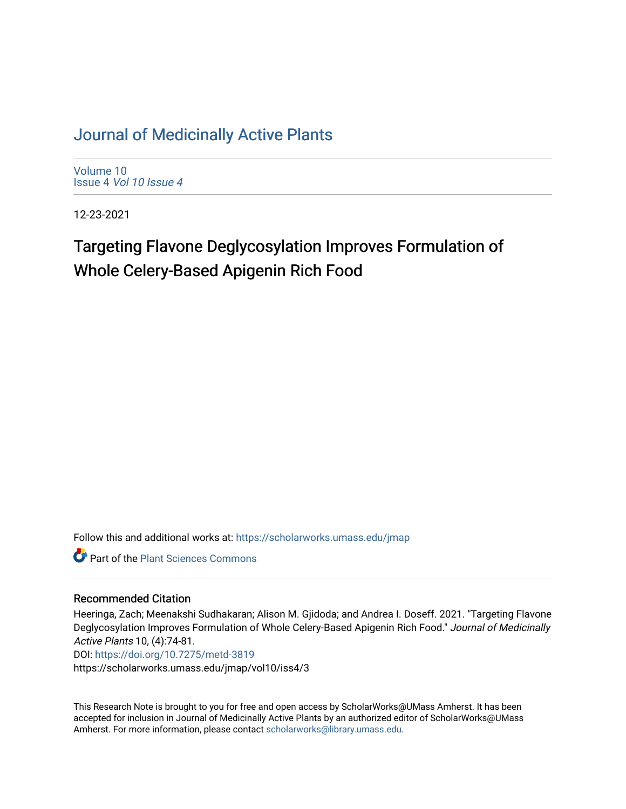# [Journal of Medicinally Active Plants](https://scholarworks.umass.edu/jmap)

[Volume 10](https://scholarworks.umass.edu/jmap/vol10) Issue 4 [Vol 10 Issue 4](https://scholarworks.umass.edu/jmap/vol10/iss4)

12-23-2021

# Targeting Flavone Deglycosylation Improves Formulation of Whole Celery-Based Apigenin Rich Food

Follow this and additional works at: [https://scholarworks.umass.edu/jmap](https://scholarworks.umass.edu/jmap?utm_source=scholarworks.umass.edu%2Fjmap%2Fvol10%2Fiss4%2F3&utm_medium=PDF&utm_campaign=PDFCoverPages) 

**Part of the [Plant Sciences Commons](http://network.bepress.com/hgg/discipline/102?utm_source=scholarworks.umass.edu%2Fjmap%2Fvol10%2Fiss4%2F3&utm_medium=PDF&utm_campaign=PDFCoverPages)** 

#### Recommended Citation

Heeringa, Zach; Meenakshi Sudhakaran; Alison M. Gjidoda; and Andrea I. Doseff. 2021. "Targeting Flavone Deglycosylation Improves Formulation of Whole Celery-Based Apigenin Rich Food." Journal of Medicinally Active Plants 10, (4):74-81.

DOI:<https://doi.org/10.7275/metd-3819>

https://scholarworks.umass.edu/jmap/vol10/iss4/3

This Research Note is brought to you for free and open access by ScholarWorks@UMass Amherst. It has been accepted for inclusion in Journal of Medicinally Active Plants by an authorized editor of ScholarWorks@UMass Amherst. For more information, please contact [scholarworks@library.umass.edu](mailto:scholarworks@library.umass.edu).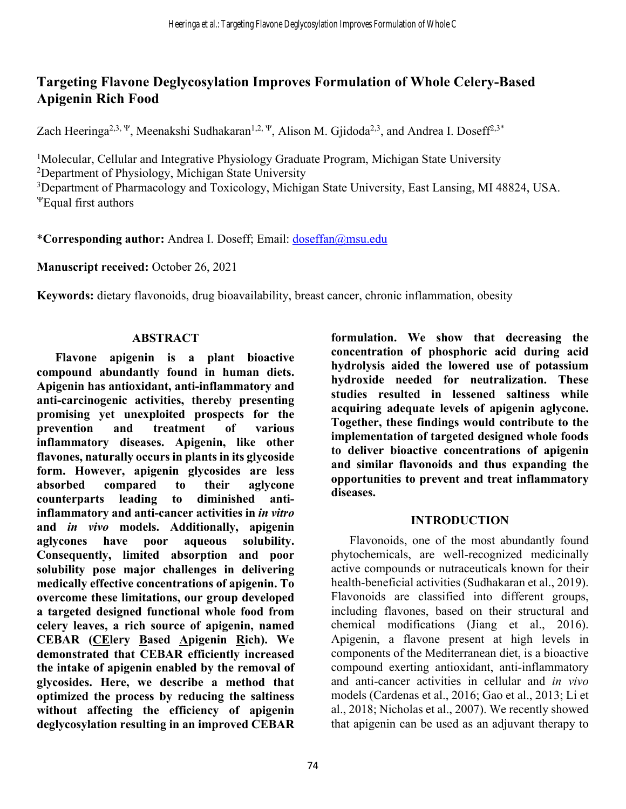## **Targeting Flavone Deglycosylation Improves Formulation of Whole Celery-Based Apigenin Rich Food**

Zach Heeringa<sup>2,3,  $\Psi$ </sup>, Meenakshi Sudhakaran<sup>1,2,  $\Psi$ </sup>, Alison M. Gjidoda<sup>2,3</sup>, and Andrea I. Doseff<sup>2,3\*</sup>

<sup>1</sup>Molecular, Cellular and Integrative Physiology Graduate Program, Michigan State University 2 Department of Physiology, Michigan State University <sup>3</sup>Department of Pharmacology and Toxicology, Michigan State University, East Lansing, MI 48824, USA. <sup>Y</sup>Equal first authors

\***Corresponding author:** Andrea I. Doseff; Email: doseffan@msu.edu

**Manuscript received:** October 26, 2021

**Keywords:** dietary flavonoids, drug bioavailability, breast cancer, chronic inflammation, obesity

### **ABSTRACT**

**Flavone apigenin is a plant bioactive compound abundantly found in human diets. Apigenin has antioxidant, anti-inflammatory and anti-carcinogenic activities, thereby presenting promising yet unexploited prospects for the prevention and treatment of various inflammatory diseases. Apigenin, like other flavones, naturally occursin plants in its glycoside form. However, apigenin glycosides are less absorbed compared to their aglycone counterparts leading to diminished antiinflammatory and anti-cancer activities in** *in vitro* **and** *in vivo* **models. Additionally, apigenin aglycones have poor aqueous solubility. Consequently, limited absorption and poor solubility pose major challenges in delivering medically effective concentrations of apigenin. To overcome these limitations, our group developed a targeted designed functional whole food from celery leaves, a rich source of apigenin, named CEBAR (CElery Based Apigenin Rich). We demonstrated that CEBAR efficiently increased the intake of apigenin enabled by the removal of glycosides. Here, we describe a method that optimized the process by reducing the saltiness without affecting the efficiency of apigenin deglycosylation resulting in an improved CEBAR**

**formulation. We show that decreasing the concentration of phosphoric acid during acid hydrolysis aided the lowered use of potassium hydroxide needed for neutralization. These studies resulted in lessened saltiness while acquiring adequate levels of apigenin aglycone. Together, these findings would contribute to the implementation of targeted designed whole foods to deliver bioactive concentrations of apigenin and similar flavonoids and thus expanding the opportunities to prevent and treat inflammatory diseases.** 

## **INTRODUCTION**

Flavonoids, one of the most abundantly found phytochemicals, are well-recognized medicinally active compounds or nutraceuticals known for their health-beneficial activities (Sudhakaran et al., 2019). Flavonoids are classified into different groups, including flavones, based on their structural and chemical modifications (Jiang et al., 2016). Apigenin, a flavone present at high levels in components of the Mediterranean diet, is a bioactive compound exerting antioxidant, anti-inflammatory and anti-cancer activities in cellular and *in vivo* models (Cardenas et al., 2016; Gao et al., 2013; Li et al., 2018; Nicholas et al., 2007). We recently showed that apigenin can be used as an adjuvant therapy to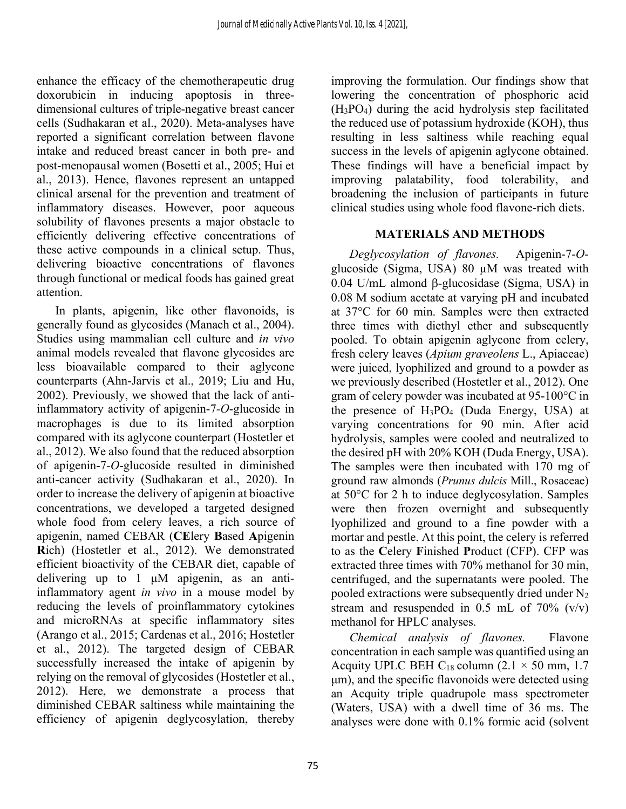enhance the efficacy of the chemotherapeutic drug doxorubicin in inducing apoptosis in threedimensional cultures of triple-negative breast cancer cells (Sudhakaran et al., 2020). Meta-analyses have reported a significant correlation between flavone intake and reduced breast cancer in both pre- and post-menopausal women (Bosetti et al., 2005; Hui et al., 2013). Hence, flavones represent an untapped clinical arsenal for the prevention and treatment of inflammatory diseases. However, poor aqueous solubility of flavones presents a major obstacle to efficiently delivering effective concentrations of these active compounds in a clinical setup. Thus, delivering bioactive concentrations of flavones through functional or medical foods has gained great attention.

In plants, apigenin, like other flavonoids, is generally found as glycosides (Manach et al., 2004). Studies using mammalian cell culture and *in vivo* animal models revealed that flavone glycosides are less bioavailable compared to their aglycone counterparts (Ahn-Jarvis et al., 2019; Liu and Hu, 2002). Previously, we showed that the lack of antiinflammatory activity of apigenin-7*-O*-glucoside in macrophages is due to its limited absorption compared with its aglycone counterpart (Hostetler et al., 2012). We also found that the reduced absorption of apigenin-7*-O*-glucoside resulted in diminished anti-cancer activity (Sudhakaran et al., 2020). In order to increase the delivery of apigenin at bioactive concentrations, we developed a targeted designed whole food from celery leaves, a rich source of apigenin, named CEBAR (**CE**lery **B**ased **A**pigenin **R**ich) (Hostetler et al., 2012). We demonstrated efficient bioactivity of the CEBAR diet, capable of delivering up to 1 μM apigenin, as an antiinflammatory agent *in vivo* in a mouse model by reducing the levels of proinflammatory cytokines and microRNAs at specific inflammatory sites (Arango et al., 2015; Cardenas et al., 2016; Hostetler et al., 2012). The targeted design of CEBAR successfully increased the intake of apigenin by relying on the removal of glycosides (Hostetler et al., 2012). Here, we demonstrate a process that diminished CEBAR saltiness while maintaining the efficiency of apigenin deglycosylation, thereby

improving the formulation. Our findings show that lowering the concentration of phosphoric acid (H3PO4) during the acid hydrolysis step facilitated the reduced use of potassium hydroxide (KOH), thus resulting in less saltiness while reaching equal success in the levels of apigenin aglycone obtained. These findings will have a beneficial impact by improving palatability, food tolerability, and broadening the inclusion of participants in future clinical studies using whole food flavone-rich diets.

#### **MATERIALS AND METHODS**

*Deglycosylation of flavones.* Apigenin-7-*O*glucoside (Sigma, USA) 80 µM was treated with 0.04 U/mL almond b-glucosidase (Sigma, USA) in 0.08 M sodium acetate at varying pH and incubated at 37°C for 60 min. Samples were then extracted three times with diethyl ether and subsequently pooled. To obtain apigenin aglycone from celery, fresh celery leaves (*Apium graveolens* L., Apiaceae) were juiced, lyophilized and ground to a powder as we previously described (Hostetler et al., 2012). One gram of celery powder was incubated at 95-100°C in the presence of  $H_3PO_4$  (Duda Energy, USA) at varying concentrations for 90 min. After acid hydrolysis, samples were cooled and neutralized to the desired pH with 20% KOH (Duda Energy, USA). The samples were then incubated with 170 mg of ground raw almonds (*Prunus dulcis* Mill., Rosaceae) at 50°C for 2 h to induce deglycosylation. Samples were then frozen overnight and subsequently lyophilized and ground to a fine powder with a mortar and pestle. At this point, the celery is referred to as the **C**elery **F**inished **P**roduct (CFP). CFP was extracted three times with 70% methanol for 30 min, centrifuged, and the supernatants were pooled. The pooled extractions were subsequently dried under  $N_2$ stream and resuspended in 0.5 mL of  $70\%$  (v/v) methanol for HPLC analyses.

*Chemical analysis of flavones.* Flavone concentration in each sample was quantified using an Acquity UPLC BEH C<sub>18</sub> column (2.1  $\times$  50 mm, 1.7 μm), and the specific flavonoids were detected using an Acquity triple quadrupole mass spectrometer (Waters, USA) with a dwell time of 36 ms. The analyses were done with 0.1% formic acid (solvent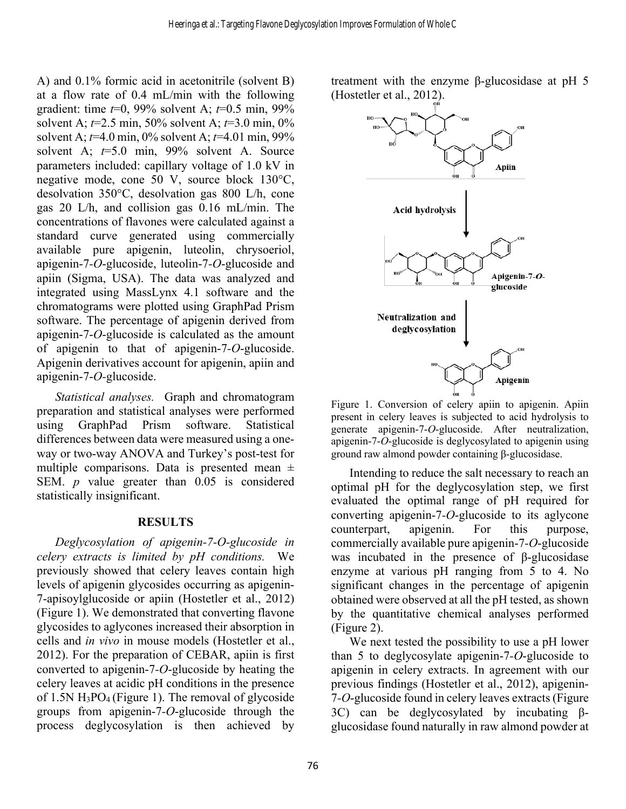A) and 0.1% formic acid in acetonitrile (solvent B) at a flow rate of 0.4 mL/min with the following gradient: time *t*=0, 99% solvent A; *t*=0.5 min, 99% solvent A; *t*=2.5 min, 50% solvent A; *t*=3.0 min, 0% solvent A; *t*=4.0 min, 0% solvent A; *t*=4.01 min, 99% solvent A; *t*=5.0 min, 99% solvent A. Source parameters included: capillary voltage of 1.0 kV in negative mode, cone 50 V, source block 130°C, desolvation 350°C, desolvation gas 800 L/h, cone gas 20 L/h, and collision gas 0.16 mL/min. The concentrations of flavones were calculated against a standard curve generated using commercially available pure apigenin, luteolin, chrysoeriol, apigenin-7*-O*-glucoside, luteolin-7*-O*-glucoside and apiin (Sigma, USA). The data was analyzed and integrated using MassLynx 4.1 software and the chromatograms were plotted using GraphPad Prism software. The percentage of apigenin derived from apigenin-7-*O*-glucoside is calculated as the amount of apigenin to that of apigenin-7*-O*-glucoside. Apigenin derivatives account for apigenin, apiin and apigenin-7-*O-*glucoside.

*Statistical analyses.* Graph and chromatogram preparation and statistical analyses were performed using GraphPad Prism software. Statistical differences between data were measured using a oneway or two-way ANOVA and Turkey's post-test for multiple comparisons. Data is presented mean  $\pm$ SEM. *p* value greater than 0.05 is considered statistically insignificant.

#### **RESULTS**

*Deglycosylation of apigenin-7-O-glucoside in celery extracts is limited by pH conditions.* We previously showed that celery leaves contain high levels of apigenin glycosides occurring as apigenin-7-apisoylglucoside or apiin (Hostetler et al., 2012) (Figure 1). We demonstrated that converting flavone glycosides to aglycones increased their absorption in cells and *in vivo* in mouse models (Hostetler et al., 2012). For the preparation of CEBAR, apiin is first converted to apigenin-7*-O*-glucoside by heating the celery leaves at acidic pH conditions in the presence of 1.5N  $H_3PO_4$  (Figure 1). The removal of glycoside groups from apigenin-7*-O*-glucoside through the process deglycosylation is then achieved by

treatment with the enzyme β-glucosidase at pH 5 (Hostetler et al., 2012).



Figure 1. Conversion of celery apiin to apigenin. Apiin present in celery leaves is subjected to acid hydrolysis to generate apigenin-7-*O*-glucoside. After neutralization, apigenin-7-*O*-glucoside is deglycosylated to apigenin using ground raw almond powder containing β-glucosidase.

Intending to reduce the salt necessary to reach an optimal pH for the deglycosylation step, we first evaluated the optimal range of pH required for converting apigenin-7*-O*-glucoside to its aglycone counterpart, apigenin. For this purpose, commercially available pure apigenin-7*-O*-glucoside was incubated in the presence of β-glucosidase enzyme at various pH ranging from 5 to 4. No significant changes in the percentage of apigenin obtained were observed at all the pH tested, as shown by the quantitative chemical analyses performed (Figure 2).

We next tested the possibility to use a pH lower than 5 to deglycosylate apigenin-7*-O*-glucoside to apigenin in celery extracts. In agreement with our previous findings (Hostetler et al., 2012), apigenin-7*-O*-glucoside found in celery leaves extracts (Figure 3C) can be deglycosylated by incubating βglucosidase found naturally in raw almond powder at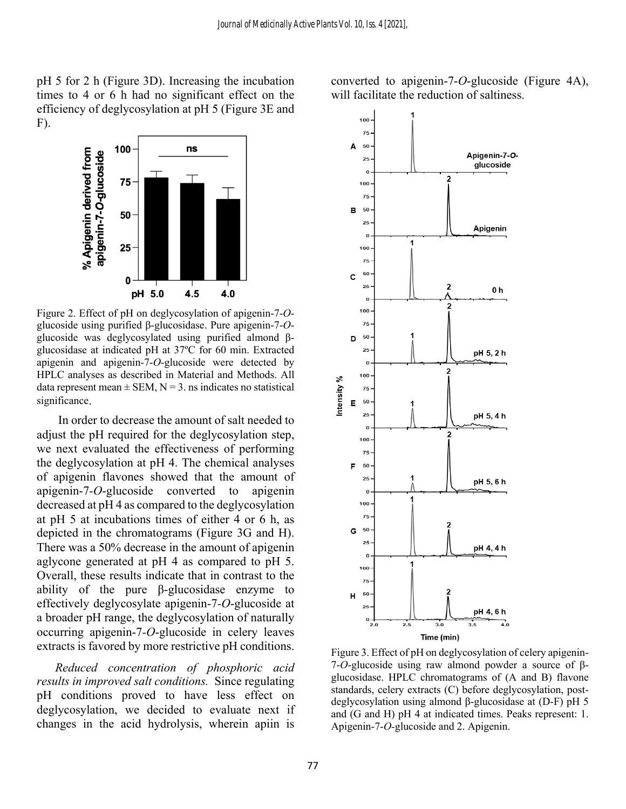pH 5 for 2 h (Figure 3D). Increasing the incubation times to 4 or 6 h had no significant effect on the efficiency of deglycosylation at pH 5 (Figure 3E and F).



Figure 2. Effect of pH on deglycosylation of apigenin-7-*O*glucoside using purified β-glucosidase. Pure apigenin-7-*O*glucoside was deglycosylated using purified almond βglucosidase at indicated pH at 37ºC for 60 min. Extracted apigenin and apigenin-7-*O*-glucoside were detected by HPLC analyses as described in Material and Methods. All data represent mean  $\pm$  SEM, N = 3. ns indicates no statistical significance.

In order to decrease the amount of salt needed to adjust the pH required for the deglycosylation step, we next evaluated the effectiveness of performing the deglycosylation at pH 4. The chemical analyses of apigenin flavones showed that the amount of apigenin-7*-O*-glucoside converted to apigenin decreased at pH 4 as compared to the deglycosylation at pH 5 at incubations times of either 4 or 6 h, as depicted in the chromatograms (Figure 3G and H). There was a 50% decrease in the amount of apigenin aglycone generated at pH 4 as compared to pH 5. Overall, these results indicate that in contrast to the ability of the pure β-glucosidase enzyme to effectively deglycosylate apigenin-7*-O*-glucoside at a broader pH range, the deglycosylation of naturally occurring apigenin-7*-O*-glucoside in celery leaves extracts is favored by more restrictive pH conditions.

*Reduced concentration of phosphoric acid results in improved salt conditions.* Since regulating pH conditions proved to have less effect on deglycosylation, we decided to evaluate next if changes in the acid hydrolysis, wherein apiin is

converted to apigenin-7-*O*-glucoside (Figure 4A), will facilitate the reduction of saltiness.



Figure 3. Effect of pH on deglycosylation of celery apigenin-7-*O*-glucoside using raw almond powder a source of βglucosidase. HPLC chromatograms of (A and B) flavone standards, celery extracts (C) before deglycosylation, postdeglycosylation using almond β-glucosidase at (D-F) pH 5 and (G and H) pH 4 at indicated times. Peaks represent: 1. Apigenin-7-*O-*glucoside and 2. Apigenin.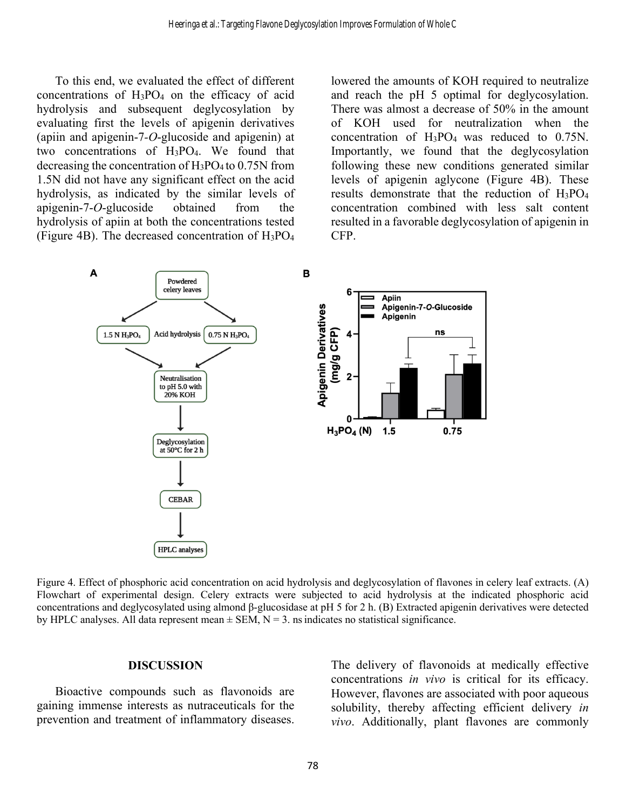To this end, we evaluated the effect of different concentrations of  $H_3PO_4$  on the efficacy of acid hydrolysis and subsequent deglycosylation by evaluating first the levels of apigenin derivatives (apiin and apigenin-7*-O*-glucoside and apigenin) at two concentrations of H3PO4. We found that decreasing the concentration of  $H_3PO_4$  to 0.75N from 1.5N did not have any significant effect on the acid hydrolysis, as indicated by the similar levels of apigenin-7-*O*-glucoside obtained from the hydrolysis of apiin at both the concentrations tested (Figure 4B). The decreased concentration of H3PO4

lowered the amounts of KOH required to neutralize and reach the pH 5 optimal for deglycosylation. There was almost a decrease of 50% in the amount of KOH used for neutralization when the concentration of H3PO4 was reduced to 0.75N. Importantly, we found that the deglycosylation following these new conditions generated similar levels of apigenin aglycone (Figure 4B). These results demonstrate that the reduction of H3PO4 concentration combined with less salt content resulted in a favorable deglycosylation of apigenin in CFP.



Figure 4. Effect of phosphoric acid concentration on acid hydrolysis and deglycosylation of flavones in celery leaf extracts. (A) Flowchart of experimental design. Celery extracts were subjected to acid hydrolysis at the indicated phosphoric acid concentrations and deglycosylated using almond β-glucosidase at pH 5 for 2 h. (B) Extracted apigenin derivatives were detected by HPLC analyses. All data represent mean  $\pm$  SEM, N = 3. ns indicates no statistical significance.

#### **DISCUSSION**

Bioactive compounds such as flavonoids are gaining immense interests as nutraceuticals for the prevention and treatment of inflammatory diseases. The delivery of flavonoids at medically effective concentrations *in vivo* is critical for its efficacy. However, flavones are associated with poor aqueous solubility, thereby affecting efficient delivery *in vivo*. Additionally, plant flavones are commonly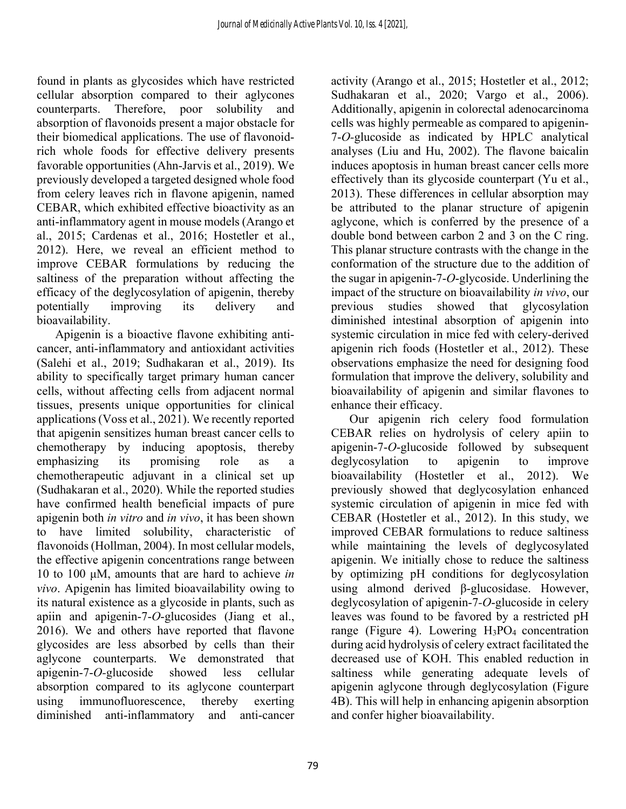found in plants as glycosides which have restricted cellular absorption compared to their aglycones counterparts. Therefore, poor solubility and absorption of flavonoids present a major obstacle for their biomedical applications. The use of flavonoidrich whole foods for effective delivery presents favorable opportunities (Ahn-Jarvis et al., 2019). We previously developed a targeted designed whole food from celery leaves rich in flavone apigenin, named CEBAR, which exhibited effective bioactivity as an anti-inflammatory agent in mouse models (Arango et al., 2015; Cardenas et al., 2016; Hostetler et al., 2012). Here, we reveal an efficient method to improve CEBAR formulations by reducing the saltiness of the preparation without affecting the efficacy of the deglycosylation of apigenin, thereby potentially improving its delivery and bioavailability.

Apigenin is a bioactive flavone exhibiting anticancer, anti-inflammatory and antioxidant activities (Salehi et al., 2019; Sudhakaran et al., 2019). Its ability to specifically target primary human cancer cells, without affecting cells from adjacent normal tissues, presents unique opportunities for clinical applications (Voss et al., 2021). We recently reported that apigenin sensitizes human breast cancer cells to chemotherapy by inducing apoptosis, thereby emphasizing its promising role as a chemotherapeutic adjuvant in a clinical set up (Sudhakaran et al., 2020). While the reported studies have confirmed health beneficial impacts of pure apigenin both *in vitro* and *in vivo*, it has been shown to have limited solubility, characteristic of flavonoids (Hollman, 2004). In most cellular models, the effective apigenin concentrations range between 10 to 100 μM, amounts that are hard to achieve *in vivo*. Apigenin has limited bioavailability owing to its natural existence as a glycoside in plants, such as apiin and apigenin-7-*O*-glucosides (Jiang et al., 2016). We and others have reported that flavone glycosides are less absorbed by cells than their aglycone counterparts. We demonstrated that apigenin-7-*O-*glucoside showed less cellular absorption compared to its aglycone counterpart using immunofluorescence, thereby exerting diminished anti-inflammatory and anti-cancer

activity (Arango et al., 2015; Hostetler et al., 2012; Sudhakaran et al., 2020; Vargo et al., 2006). Additionally, apigenin in colorectal adenocarcinoma cells was highly permeable as compared to apigenin-7-*O-*glucoside as indicated by HPLC analytical analyses (Liu and Hu, 2002). The flavone baicalin induces apoptosis in human breast cancer cells more effectively than its glycoside counterpart (Yu et al., 2013). These differences in cellular absorption may be attributed to the planar structure of apigenin aglycone, which is conferred by the presence of a double bond between carbon 2 and 3 on the C ring. This planar structure contrasts with the change in the conformation of the structure due to the addition of the sugar in apigenin-7-*O*-glycoside. Underlining the impact of the structure on bioavailability *in vivo*, our previous studies showed that glycosylation diminished intestinal absorption of apigenin into systemic circulation in mice fed with celery-derived apigenin rich foods (Hostetler et al., 2012). These observations emphasize the need for designing food formulation that improve the delivery, solubility and bioavailability of apigenin and similar flavones to enhance their efficacy.

Our apigenin rich celery food formulation CEBAR relies on hydrolysis of celery apiin to apigenin-7-*O*-glucoside followed by subsequent deglycosylation to apigenin to improve bioavailability (Hostetler et al., 2012). We previously showed that deglycosylation enhanced systemic circulation of apigenin in mice fed with CEBAR (Hostetler et al., 2012). In this study, we improved CEBAR formulations to reduce saltiness while maintaining the levels of deglycosylated apigenin. We initially chose to reduce the saltiness by optimizing pH conditions for deglycosylation using almond derived β-glucosidase. However, deglycosylation of apigenin-7*-O*-glucoside in celery leaves was found to be favored by a restricted pH range (Figure 4). Lowering  $H_3PO_4$  concentration during acid hydrolysis of celery extract facilitated the decreased use of KOH. This enabled reduction in saltiness while generating adequate levels of apigenin aglycone through deglycosylation (Figure 4B). This will help in enhancing apigenin absorption and confer higher bioavailability.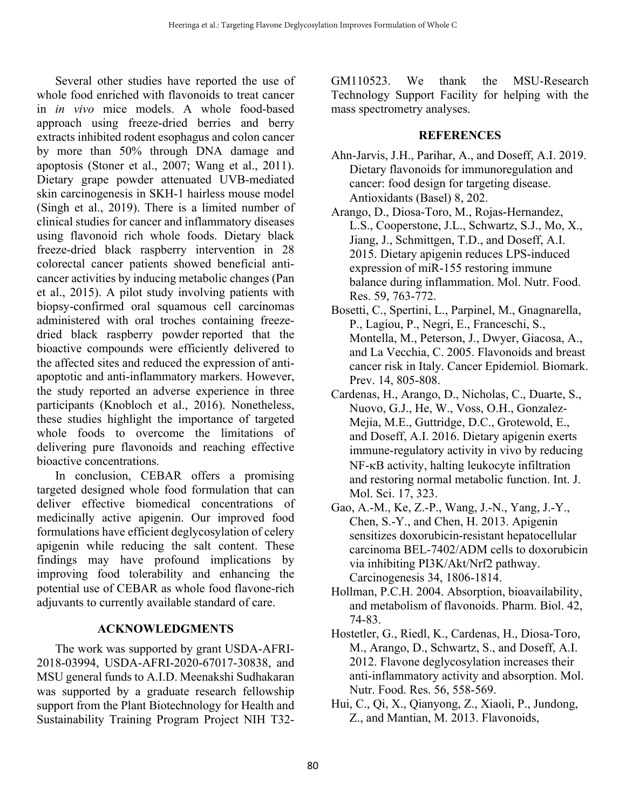Several other studies have reported the use of whole food enriched with flavonoids to treat cancer in *in vivo* mice models. A whole food-based approach using freeze-dried berries and berry extracts inhibited rodent esophagus and colon cancer by more than 50% through DNA damage and apoptosis (Stoner et al., 2007; Wang et al., 2011). Dietary grape powder attenuated UVB-mediated skin carcinogenesis in SKH-1 hairless mouse model (Singh et al., 2019). There is a limited number of clinical studies for cancer and inflammatory diseases using flavonoid rich whole foods. Dietary black freeze-dried black raspberry intervention in 28 colorectal cancer patients showed beneficial anticancer activities by inducing metabolic changes (Pan et al., 2015). A pilot study involving patients with biopsy-confirmed oral squamous cell carcinomas administered with oral troches containing freezedried black raspberry powder reported that the bioactive compounds were efficiently delivered to the affected sites and reduced the expression of antiapoptotic and anti-inflammatory markers. However, the study reported an adverse experience in three participants (Knobloch et al., 2016). Nonetheless, these studies highlight the importance of targeted whole foods to overcome the limitations of delivering pure flavonoids and reaching effective bioactive concentrations.

In conclusion, CEBAR offers a promising targeted designed whole food formulation that can deliver effective biomedical concentrations of medicinally active apigenin. Our improved food formulations have efficient deglycosylation of celery apigenin while reducing the salt content. These findings may have profound implications by improving food tolerability and enhancing the potential use of CEBAR as whole food flavone-rich adjuvants to currently available standard of care.

### **ACKNOWLEDGMENTS**

The work was supported by grant USDA-AFRI-2018-03994, USDA-AFRI-2020-67017-30838, and MSU general funds to A.I.D. Meenakshi Sudhakaran was supported by a graduate research fellowship support from the Plant Biotechnology for Health and Sustainability Training Program Project NIH T32GM110523. We thank the MSU-Research Technology Support Facility for helping with the mass spectrometry analyses.

## **REFERENCES**

- Ahn-Jarvis, J.H., Parihar, A., and Doseff, A.I. 2019. Dietary flavonoids for immunoregulation and cancer: food design for targeting disease. Antioxidants (Basel) 8, 202.
- Arango, D., Diosa-Toro, M., Rojas-Hernandez, L.S., Cooperstone, J.L., Schwartz, S.J., Mo, X., Jiang, J., Schmittgen, T.D., and Doseff, A.I. 2015. Dietary apigenin reduces LPS-induced expression of miR-155 restoring immune balance during inflammation. Mol. Nutr. Food. Res. 59, 763-772.
- Bosetti, C., Spertini, L., Parpinel, M., Gnagnarella, P., Lagiou, P., Negri, E., Franceschi, S., Montella, M., Peterson, J., Dwyer, Giacosa, A., and La Vecchia, C. 2005. Flavonoids and breast cancer risk in Italy. Cancer Epidemiol. Biomark. Prev. 14, 805-808.
- Cardenas, H., Arango, D., Nicholas, C., Duarte, S., Nuovo, G.J., He, W., Voss, O.H., Gonzalez-Mejia, M.E., Guttridge, D.C., Grotewold, E., and Doseff, A.I. 2016. Dietary apigenin exerts immune-regulatory activity in vivo by reducing NF-kB activity, halting leukocyte infiltration and restoring normal metabolic function. Int. J. Mol. Sci. 17, 323.
- Gao, A.-M., Ke, Z.-P., Wang, J.-N., Yang, J.-Y., Chen, S.-Y., and Chen, H. 2013. Apigenin sensitizes doxorubicin-resistant hepatocellular carcinoma BEL-7402/ADM cells to doxorubicin via inhibiting PI3K/Akt/Nrf2 pathway. Carcinogenesis 34, 1806-1814.
- Hollman, P.C.H. 2004. Absorption, bioavailability, and metabolism of flavonoids. Pharm. Biol. 42, 74-83.
- Hostetler, G., Riedl, K., Cardenas, H., Diosa-Toro, M., Arango, D., Schwartz, S., and Doseff, A.I. 2012. Flavone deglycosylation increases their anti-inflammatory activity and absorption. Mol. Nutr. Food. Res. 56, 558-569.
- Hui, C., Qi, X., Qianyong, Z., Xiaoli, P., Jundong, Z., and Mantian, M. 2013. Flavonoids,